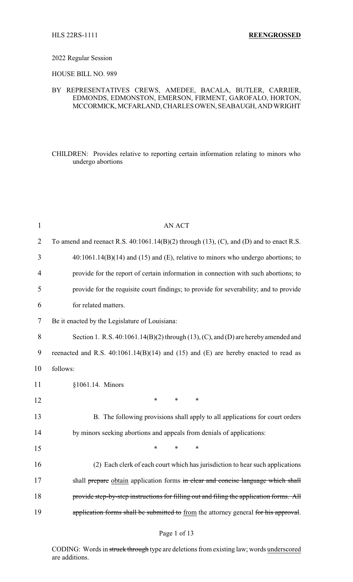### 2022 Regular Session

HOUSE BILL NO. 989

## BY REPRESENTATIVES CREWS, AMEDEE, BACALA, BUTLER, CARRIER, EDMONDS, EDMONSTON, EMERSON, FIRMENT, GAROFALO, HORTON, MCCORMICK, MCFARLAND, CHARLES OWEN, SEABAUGH, AND WRIGHT

CHILDREN: Provides relative to reporting certain information relating to minors who undergo abortions

| $\mathbf{1}$   | <b>AN ACT</b>                                                                                     |  |
|----------------|---------------------------------------------------------------------------------------------------|--|
| $\overline{2}$ | To amend and reenact R.S. $40:1061.14(B)(2)$ through $(13)$ , $(C)$ , and $(D)$ and to enact R.S. |  |
| 3              | $40:1061.14(B)(14)$ and (15) and (E), relative to minors who undergo abortions; to                |  |
| $\overline{4}$ | provide for the report of certain information in connection with such abortions; to               |  |
| 5              | provide for the requisite court findings; to provide for severability; and to provide             |  |
| 6              | for related matters.                                                                              |  |
| 7              | Be it enacted by the Legislature of Louisiana:                                                    |  |
| 8              | Section 1. R.S. 40:1061.14(B)(2) through (13), (C), and (D) are hereby amended and                |  |
| 9              | reenacted and R.S. 40:1061.14(B)(14) and (15) and (E) are hereby enacted to read as               |  |
| 10             | follows:                                                                                          |  |
| 11             | §1061.14. Minors                                                                                  |  |
| 12             | $\ast$<br>$\ast$<br>$\ast$                                                                        |  |
| 13             | B. The following provisions shall apply to all applications for court orders                      |  |
| 14             | by minors seeking abortions and appeals from denials of applications:                             |  |
| 15             | $\ast$<br>$\ast$<br>$\ast$                                                                        |  |
| 16             | (2) Each clerk of each court which has jurisdiction to hear such applications                     |  |
| 17             | shall prepare obtain application forms in clear and concise language which shall                  |  |
| 18             | provide step-by-step instructions for filling out and filing the application forms. All           |  |
| 19             | application forms shall be submitted to from the attorney general for his approval.               |  |

## Page 1 of 13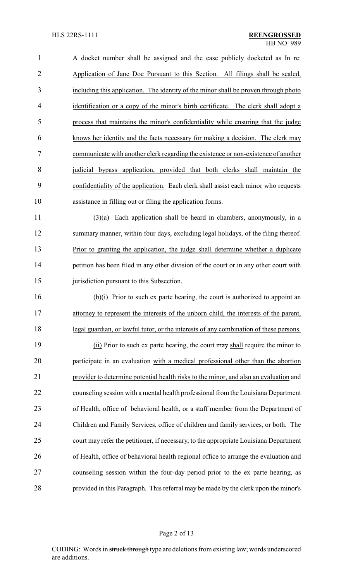A docket number shall be assigned and the case publicly docketed as In re: Application of Jane Doe Pursuant to this Section. All filings shall be sealed, including this application. The identity of the minor shall be proven through photo identification or a copy of the minor's birth certificate. The clerk shall adopt a process that maintains the minor's confidentiality while ensuring that the judge knows her identity and the facts necessary for making a decision. The clerk may communicate with another clerk regarding the existence or non-existence of another judicial bypass application, provided that both clerks shall maintain the confidentiality of the application. Each clerk shall assist each minor who requests assistance in filling out or filing the application forms.

 (3)(a) Each application shall be heard in chambers, anonymously, in a summary manner, within four days, excluding legal holidays, of the filing thereof. Prior to granting the application, the judge shall determine whether a duplicate 14 petition has been filed in any other division of the court or in any other court with 15 jurisdiction pursuant to this Subsection.

 (b)(i) Prior to such ex parte hearing, the court is authorized to appoint an attorney to represent the interests of the unborn child, the interests of the parent, legal guardian, or lawful tutor, or the interests of any combination of these persons.

19 (ii) Prior to such ex parte hearing, the court may shall require the minor to participate in an evaluation with a medical professional other than the abortion provider to determine potential health risks to the minor, and also an evaluation and counseling session with a mental health professional from the Louisiana Department of Health, office of behavioral health, or a staff member from the Department of Children and Family Services, office of children and family services, or both. The court may refer the petitioner, if necessary, to the appropriate Louisiana Department of Health, office of behavioral health regional office to arrange the evaluation and counseling session within the four-day period prior to the ex parte hearing, as provided in this Paragraph. This referral may be made by the clerk upon the minor's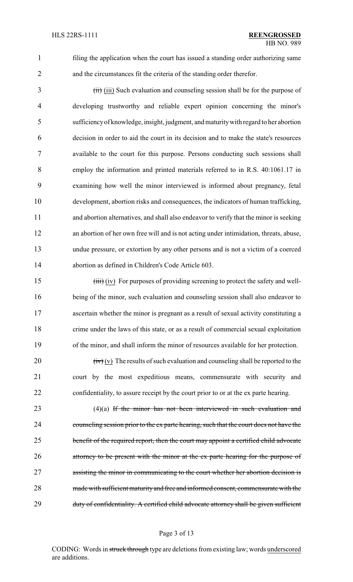1 filing the application when the court has issued a standing order authorizing same 2 and the circumstances fit the criteria of the standing order therefor.

3 (iii) (iii) Such evaluation and counseling session shall be for the purpose of developing trustworthy and reliable expert opinion concerning the minor's sufficiencyof knowledge, insight, judgment, and maturitywith regard to her abortion decision in order to aid the court in its decision and to make the state's resources available to the court for this purpose. Persons conducting such sessions shall employ the information and printed materials referred to in R.S. 40:1061.17 in examining how well the minor interviewed is informed about pregnancy, fetal development, abortion risks and consequences, the indicators of human trafficking, and abortion alternatives, and shall also endeavor to verify that the minor is seeking an abortion of her own free will and is not acting under intimidation, threats, abuse, undue pressure, or extortion by any other persons and is not a victim of a coerced abortion as defined in Children's Code Article 603.

15 (iii) (iv) For purposes of providing screening to protect the safety and well- being of the minor, such evaluation and counseling session shall also endeavor to ascertain whether the minor is pregnant as a result of sexual activity constituting a crime under the laws of this state, or as a result of commercial sexual exploitation of the minor, and shall inform the minor of resources available for her protection.

20  $(iv)(v)$  The results of such evaluation and counseling shall be reported to the 21 court by the most expeditious means, commensurate with security and 22 confidentiality, to assure receipt by the court prior to or at the ex parte hearing.

23 (4)(a) If the minor has not been interviewed in such evaluation and 24 counseling session prior to the ex parte hearing, such that the court does not have the 25 benefit of the required report, then the court may appoint a certified child advocate 26 attorney to be present with the minor at the ex parte hearing for the purpose of 27 assisting the minor in communicating to the court whether her abortion decision is 28 made with sufficient maturity and free and informed consent, commensurate with the 29 duty of confidentiality. A certified child advocate attorney shall be given sufficient

#### Page 3 of 13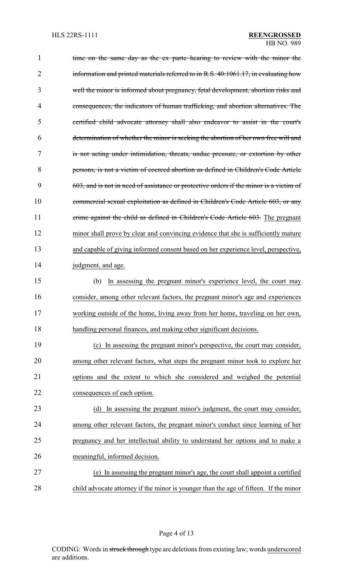| $\mathbf 1$ | time on the same day as the ex parte hearing to review with the minor the              |
|-------------|----------------------------------------------------------------------------------------|
| 2           | information and printed materials referred to in R.S. 40:1061.17, in evaluating how    |
| 3           | well the minor is informed about pregnancy, fetal development, abortion risks and      |
| 4           | consequences, the indicators of human trafficking, and abortion alternatives. The      |
| 5           | certified child advocate attorney shall also endeavor to assist in the court's         |
| 6           | determination of whether the minor is seeking the abortion of her own free will and    |
| 7           | is not acting under intimidation, threats, undue pressure, or extortion by other       |
| 8           | persons, is not a victim of coerced abortion as defined in Children's Code Article     |
| 9           | 603, and is not in need of assistance or protective orders if the minor is a victim of |
| 10          | commercial sexual exploitation as defined in Children's Code Article 603, or any       |
| 11          | crime against the child as defined in Children's Code Article 603. The pregnant        |
| 12          | minor shall prove by clear and convincing evidence that she is sufficiently mature     |
| 13          | and capable of giving informed consent based on her experience level, perspective,     |
| 14          | judgment, and age.                                                                     |
| 15          | In assessing the pregnant minor's experience level, the court may<br>(b)               |
| 16          | consider, among other relevant factors, the pregnant minor's age and experiences       |
| 17          | working outside of the home, living away from her home, traveling on her own,          |
| 18          | handling personal finances, and making other significant decisions.                    |
| 19          | (c) In assessing the pregnant minor's perspective, the court may consider,             |
| 20          | among other relevant factors, what steps the pregnant minor took to explore her        |
| 21          | options and the extent to which she considered and weighed the potential               |
| 22          | consequences of each option.                                                           |
| 23          | In assessing the pregnant minor's judgment, the court may consider,<br>(d)             |
| 24          | among other relevant factors, the pregnant minor's conduct since learning of her       |
| 25          | pregnancy and her intellectual ability to understand her options and to make a         |
| 26          | meaningful, informed decision.                                                         |
| 27          | (e) In assessing the pregnant minor's age, the court shall appoint a certified         |
| 28          | child advocate attorney if the minor is younger than the age of fifteen. If the minor  |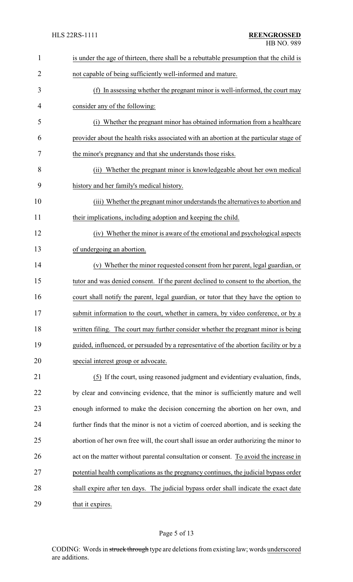| $\mathbf{1}$   | is under the age of thirteen, there shall be a rebuttable presumption that the child is |
|----------------|-----------------------------------------------------------------------------------------|
| $\overline{2}$ | not capable of being sufficiently well-informed and mature.                             |
| 3              | (f) In assessing whether the pregnant minor is well-informed, the court may             |
| 4              | consider any of the following:                                                          |
| 5              | (i) Whether the pregnant minor has obtained information from a healthcare               |
| 6              | provider about the health risks associated with an abortion at the particular stage of  |
| 7              | the minor's pregnancy and that she understands those risks.                             |
| 8              | (ii) Whether the pregnant minor is knowledgeable about her own medical                  |
| 9              | history and her family's medical history.                                               |
| 10             | (iii) Whether the pregnant minor understands the alternatives to abortion and           |
| 11             | their implications, including adoption and keeping the child.                           |
| 12             | (iv) Whether the minor is aware of the emotional and psychological aspects              |
| 13             | of undergoing an abortion.                                                              |
| 14             | (v) Whether the minor requested consent from her parent, legal guardian, or             |
| 15             | tutor and was denied consent. If the parent declined to consent to the abortion, the    |
| 16             | court shall notify the parent, legal guardian, or tutor that they have the option to    |
| 17             | submit information to the court, whether in camera, by video conference, or by a        |
| 18             | written filing. The court may further consider whether the pregnant minor is being      |
| 19             | guided, influenced, or persuaded by a representative of the abortion facility or by a   |
| 20             | special interest group or advocate.                                                     |
| 21             | (5) If the court, using reasoned judgment and evidentiary evaluation, finds,            |
| 22             | by clear and convincing evidence, that the minor is sufficiently mature and well        |
| 23             | enough informed to make the decision concerning the abortion on her own, and            |
| 24             | further finds that the minor is not a victim of coerced abortion, and is seeking the    |
| 25             | abortion of her own free will, the court shall issue an order authorizing the minor to  |
| 26             | act on the matter without parental consultation or consent. To avoid the increase in    |
| 27             | potential health complications as the pregnancy continues, the judicial bypass order    |
| 28             | shall expire after ten days. The judicial bypass order shall indicate the exact date    |
| 29             | that it expires.                                                                        |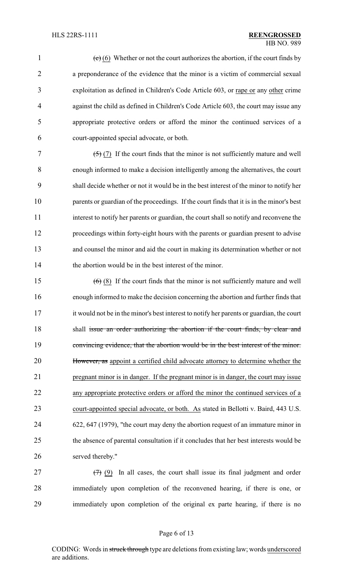1 (c) (6) Whether or not the court authorizes the abortion, if the court finds by a preponderance of the evidence that the minor is a victim of commercial sexual exploitation as defined in Children's Code Article 603, or rape or any other crime against the child as defined in Children's Code Article 603, the court may issue any appropriate protective orders or afford the minor the continued services of a court-appointed special advocate, or both.

 $(5)(7)$  If the court finds that the minor is not sufficiently mature and well enough informed to make a decision intelligently among the alternatives, the court shall decide whether or not it would be in the best interest of the minor to notify her parents or guardian of the proceedings. If the court finds that it is in the minor's best interest to notify her parents or guardian, the court shall so notify and reconvene the proceedings within forty-eight hours with the parents or guardian present to advise and counsel the minor and aid the court in making its determination whether or not 14 the abortion would be in the best interest of the minor.

 $(6)$  (8) If the court finds that the minor is not sufficiently mature and well enough informed to make the decision concerning the abortion and further finds that it would not be in the minor's best interest to notify her parents or guardian, the court 18 shall issue an order authorizing the abortion if the court finds, by clear and 19 convincing evidence, that the abortion would be in the best interest of the minor. 20 However, as appoint a certified child advocate attorney to determine whether the pregnant minor is in danger. If the pregnant minor is in danger, the court may issue any appropriate protective orders or afford the minor the continued services of a court-appointed special advocate, or both. As stated in Bellotti v. Baird, 443 U.S. 622, 647 (1979), "the court may deny the abortion request of an immature minor in the absence of parental consultation if it concludes that her best interests would be served thereby."

27  $(7)$  (9) In all cases, the court shall issue its final judgment and order immediately upon completion of the reconvened hearing, if there is one, or immediately upon completion of the original ex parte hearing, if there is no

### Page 6 of 13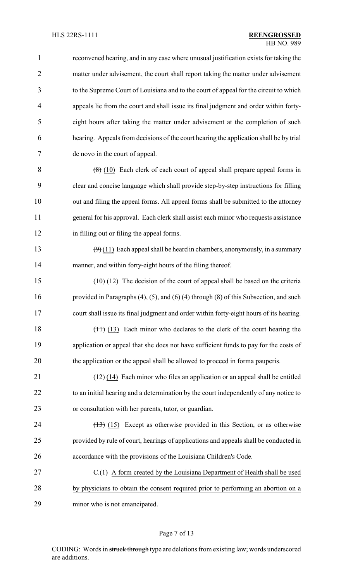| $\mathbf{1}$   | reconvened hearing, and in any case where unusual justification exists for taking the             |
|----------------|---------------------------------------------------------------------------------------------------|
| $\overline{2}$ | matter under advisement, the court shall report taking the matter under advisement                |
| 3              | to the Supreme Court of Louisiana and to the court of appeal for the circuit to which             |
| 4              | appeals lie from the court and shall issue its final judgment and order within forty-             |
| 5              | eight hours after taking the matter under advisement at the completion of such                    |
| 6              | hearing. Appeals from decisions of the court hearing the application shall be by trial            |
| 7              | de novo in the court of appeal.                                                                   |
| 8              | $(8)$ (10) Each clerk of each court of appeal shall prepare appeal forms in                       |
| 9              | clear and concise language which shall provide step-by-step instructions for filling              |
| 10             | out and filing the appeal forms. All appeal forms shall be submitted to the attorney              |
| 11             | general for his approval. Each clerk shall assist each minor who requests assistance              |
| 12             | in filling out or filing the appeal forms.                                                        |
| 13             | $(9)(11)$ Each appeal shall be heard in chambers, anonymously, in a summary                       |
| 14             | manner, and within forty-eight hours of the filing thereof.                                       |
| 15             | $(10)(12)$ The decision of the court of appeal shall be based on the criteria                     |
| 16             | provided in Paragraphs $(4)$ , $(5)$ , and $(6)$ $(4)$ through $(8)$ of this Subsection, and such |
| 17             | court shall issue its final judgment and order within forty-eight hours of its hearing.           |
| 18             | $(11)$ $(13)$ Each minor who declares to the clerk of the court hearing the                       |
| 19             | application or appeal that she does not have sufficient funds to pay for the costs of             |
| 20             | the application or the appeal shall be allowed to proceed in forma pauperis.                      |
| 21             | $(12)$ (14) Each minor who files an application or an appeal shall be entitled                    |
| 22             | to an initial hearing and a determination by the court independently of any notice to             |
| 23             | or consultation with her parents, tutor, or guardian.                                             |
| 24             | $(13)$ (15) Except as otherwise provided in this Section, or as otherwise                         |
| 25             | provided by rule of court, hearings of applications and appeals shall be conducted in             |
| 26             | accordance with the provisions of the Louisiana Children's Code.                                  |
| 27             | C.(1) A form created by the Louisiana Department of Health shall be used                          |
| 28             | by physicians to obtain the consent required prior to performing an abortion on a                 |
| 29             | minor who is not emancipated.                                                                     |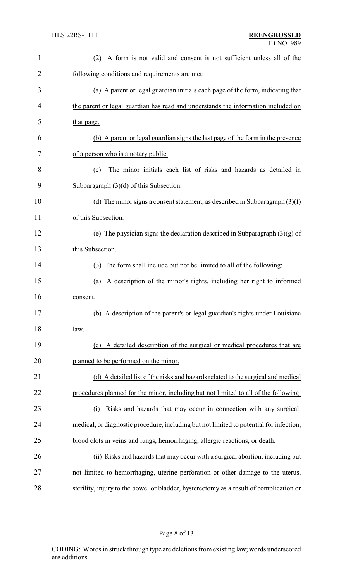| $\mathbf{1}$   | A form is not valid and consent is not sufficient unless all of the<br>(2)              |
|----------------|-----------------------------------------------------------------------------------------|
| $\overline{2}$ | following conditions and requirements are met:                                          |
| 3              | (a) A parent or legal guardian initials each page of the form, indicating that          |
| 4              | the parent or legal guardian has read and understands the information included on       |
| 5              | that page.                                                                              |
| 6              | (b) A parent or legal guardian signs the last page of the form in the presence          |
| 7              | of a person who is a notary public.                                                     |
| 8              | The minor initials each list of risks and hazards as detailed in<br>(c)                 |
| 9              | Subparagraph $(3)(d)$ of this Subsection.                                               |
| 10             | (d) The minor signs a consent statement, as described in Subparagraph $(3)(f)$          |
| 11             | of this Subsection.                                                                     |
| 12             | (e) The physician signs the declaration described in Subparagraph $(3)(g)$ of           |
| 13             | this Subsection.                                                                        |
| 14             | The form shall include but not be limited to all of the following:<br>(3)               |
| 15             | A description of the minor's rights, including her right to informed<br>(a)             |
| 16             | consent.                                                                                |
| 17             | (b) A description of the parent's or legal guardian's rights under Louisiana            |
| 18             | <u>law.</u>                                                                             |
| 19             | A detailed description of the surgical or medical procedures that are<br>(c)            |
| 20             | planned to be performed on the minor.                                                   |
| 21             | (d) A detailed list of the risks and hazards related to the surgical and medical        |
| 22             | procedures planned for the minor, including but not limited to all of the following:    |
| 23             | Risks and hazards that may occur in connection with any surgical,<br>(i)                |
| 24             | medical, or diagnostic procedure, including but not limited to potential for infection, |
| 25             | blood clots in veins and lungs, hemorrhaging, allergic reactions, or death.             |
| 26             | (ii) Risks and hazards that may occur with a surgical abortion, including but           |
| 27             | not limited to hemorrhaging, uterine perforation or other damage to the uterus,         |
| 28             | sterility, injury to the bowel or bladder, hysterectomy as a result of complication or  |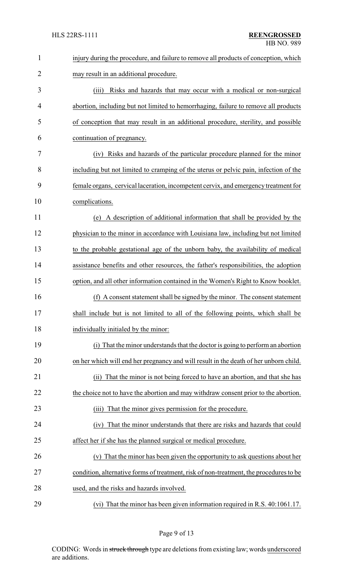| $\mathbf{1}$   | injury during the procedure, and failure to remove all products of conception, which   |
|----------------|----------------------------------------------------------------------------------------|
| $\overline{2}$ | may result in an additional procedure.                                                 |
| 3              | Risks and hazards that may occur with a medical or non-surgical<br>(iii)               |
| 4              | abortion, including but not limited to hemorrhaging, failure to remove all products    |
| 5              | of conception that may result in an additional procedure, sterility, and possible      |
| 6              | continuation of pregnancy.                                                             |
| 7              | Risks and hazards of the particular procedure planned for the minor<br>(iv)            |
| 8              | including but not limited to cramping of the uterus or pelvic pain, infection of the   |
| 9              | female organs, cervical laceration, incompetent cervix, and emergency treatment for    |
| 10             | complications.                                                                         |
| 11             | A description of additional information that shall be provided by the<br>(e)           |
| 12             | physician to the minor in accordance with Louisiana law, including but not limited     |
| 13             | to the probable gestational age of the unborn baby, the availability of medical        |
| 14             | assistance benefits and other resources, the father's responsibilities, the adoption   |
| 15             | option, and all other information contained in the Women's Right to Know booklet.      |
| 16             | A consent statement shall be signed by the minor. The consent statement<br>(f)         |
| 17             | shall include but is not limited to all of the following points, which shall be        |
| 18             | individually initialed by the minor:                                                   |
| 19             | (i) That the minor understands that the doctor is going to perform an abortion         |
| 20             | on her which will end her pregnancy and will result in the death of her unborn child.  |
| 21             | That the minor is not being forced to have an abortion, and that she has<br>(ii)       |
| 22             | the choice not to have the abortion and may withdraw consent prior to the abortion.    |
| 23             | That the minor gives permission for the procedure.<br>(iii)                            |
| 24             | (iv) That the minor understands that there are risks and hazards that could            |
| 25             | affect her if she has the planned surgical or medical procedure.                       |
| 26             | (v) That the minor has been given the opportunity to ask questions about her           |
| 27             | condition, alternative forms of treatment, risk of non-treatment, the procedures to be |
| 28             | used, and the risks and hazards involved.                                              |
| 29             | (vi) That the minor has been given information required in R.S. 40:1061.17.            |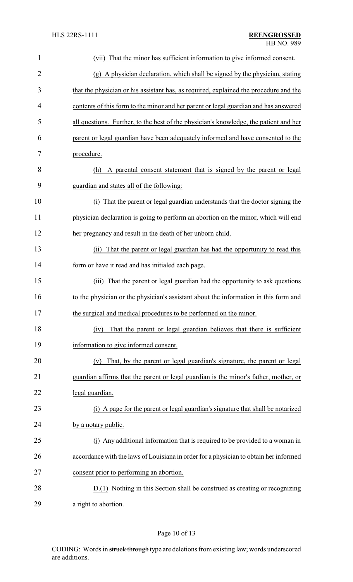| 1              | (vii) That the minor has sufficient information to give informed consent.             |
|----------------|---------------------------------------------------------------------------------------|
| $\overline{2}$ | (g) A physician declaration, which shall be signed by the physician, stating          |
| 3              | that the physician or his assistant has, as required, explained the procedure and the |
| 4              | contents of this form to the minor and her parent or legal guardian and has answered  |
| 5              | all questions. Further, to the best of the physician's knowledge, the patient and her |
| 6              | parent or legal guardian have been adequately informed and have consented to the      |
| 7              | procedure.                                                                            |
| 8              | A parental consent statement that is signed by the parent or legal<br>(h)             |
| 9              | guardian and states all of the following:                                             |
| 10             | (i) That the parent or legal guardian understands that the doctor signing the         |
| 11             | physician declaration is going to perform an abortion on the minor, which will end    |
| 12             | her pregnancy and result in the death of her unborn child.                            |
| 13             | That the parent or legal guardian has had the opportunity to read this<br>(i)         |
| 14             | form or have it read and has initialed each page.                                     |
| 15             | That the parent or legal guardian had the opportunity to ask questions<br>(iii)       |
| 16             | to the physician or the physician's assistant about the information in this form and  |
| 17             | the surgical and medical procedures to be performed on the minor.                     |
| 18             | That the parent or legal guardian believes that there is sufficient<br>(iv)           |
| 19             | information to give informed consent.                                                 |
| 20             | That, by the parent or legal guardian's signature, the parent or legal<br>(v)         |
| 21             | guardian affirms that the parent or legal guardian is the minor's father, mother, or  |
| 22             | legal guardian.                                                                       |
| 23             | (i) A page for the parent or legal guardian's signature that shall be notarized       |
| 24             | by a notary public.                                                                   |
| 25             | (j) Any additional information that is required to be provided to a woman in          |
| 26             | accordance with the laws of Louisiana in order for a physician to obtain her informed |
| 27             | consent prior to performing an abortion.                                              |
| 28             | $D(1)$ Nothing in this Section shall be construed as creating or recognizing          |
| 29             | a right to abortion.                                                                  |

# Page 10 of 13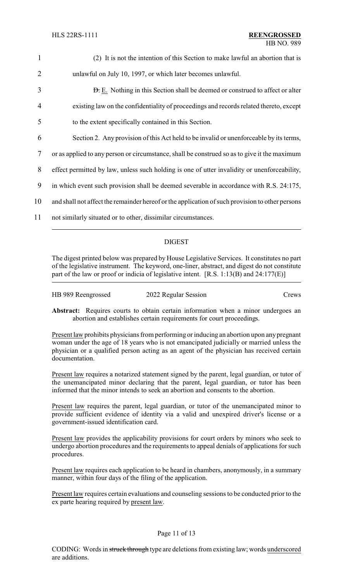| $\mathbf{1}$   | (2) It is not the intention of this Section to make lawful an abortion that is                  |
|----------------|-------------------------------------------------------------------------------------------------|
| $\overline{2}$ | unlawful on July 10, 1997, or which later becomes unlawful.                                     |
| 3              | <b>D.</b> E. Nothing in this Section shall be deemed or construed to affect or alter            |
| 4              | existing law on the confidentiality of proceedings and records related thereto, except          |
| 5              | to the extent specifically contained in this Section.                                           |
| 6              | Section 2. Any provision of this Act held to be invalid or unenforceable by its terms,          |
| $\overline{7}$ | or as applied to any person or circumstance, shall be construed so as to give it the maximum    |
| 8              | effect permitted by law, unless such holding is one of utter invalidity or unenforceability,    |
| 9              | in which event such provision shall be deemed severable in accordance with R.S. 24:175,         |
| 10             | and shall not affect the remainder hereof or the application of such provision to other persons |
| 11             | not similarly situated or to other, dissimilar circumstances.                                   |
|                |                                                                                                 |

## DIGEST

The digest printed below was prepared by House Legislative Services. It constitutes no part of the legislative instrument. The keyword, one-liner, abstract, and digest do not constitute part of the law or proof or indicia of legislative intent. [R.S. 1:13(B) and 24:177(E)]

| HB 989 Reengrossed | 2022 Regular Session | Crews |
|--------------------|----------------------|-------|
|                    |                      |       |

Abstract: Requires courts to obtain certain information when a minor undergoes an abortion and establishes certain requirements for court proceedings.

Present law prohibits physicians from performing or inducing an abortion upon any pregnant woman under the age of 18 years who is not emancipated judicially or married unless the physician or a qualified person acting as an agent of the physician has received certain documentation.

Present law requires a notarized statement signed by the parent, legal guardian, or tutor of the unemancipated minor declaring that the parent, legal guardian, or tutor has been informed that the minor intends to seek an abortion and consents to the abortion.

Present law requires the parent, legal guardian, or tutor of the unemancipated minor to provide sufficient evidence of identity via a valid and unexpired driver's license or a government-issued identification card.

Present law provides the applicability provisions for court orders by minors who seek to undergo abortion procedures and the requirements to appeal denials of applications for such procedures.

Present law requires each application to be heard in chambers, anonymously, in a summary manner, within four days of the filing of the application.

Present law requires certain evaluations and counseling sessions to be conducted prior to the ex parte hearing required by present law.

## Page 11 of 13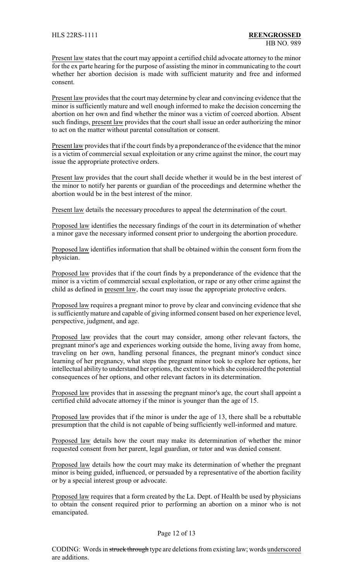Present law states that the court may appoint a certified child advocate attorney to the minor for the ex parte hearing for the purpose of assisting the minor in communicating to the court whether her abortion decision is made with sufficient maturity and free and informed consent.

Present law provides that the court may determine by clear and convincing evidence that the minor is sufficiently mature and well enough informed to make the decision concerning the abortion on her own and find whether the minor was a victim of coerced abortion. Absent such findings, present law provides that the court shall issue an order authorizing the minor to act on the matter without parental consultation or consent.

Present law provides that if the court finds by a preponderance of the evidence that the minor is a victim of commercial sexual exploitation or any crime against the minor, the court may issue the appropriate protective orders.

Present law provides that the court shall decide whether it would be in the best interest of the minor to notify her parents or guardian of the proceedings and determine whether the abortion would be in the best interest of the minor.

Present law details the necessary procedures to appeal the determination of the court.

Proposed law identifies the necessary findings of the court in its determination of whether a minor gave the necessary informed consent prior to undergoing the abortion procedure.

Proposed law identifies information that shall be obtained within the consent form from the physician.

Proposed law provides that if the court finds by a preponderance of the evidence that the minor is a victim of commercial sexual exploitation, or rape or any other crime against the child as defined in present law, the court may issue the appropriate protective orders.

Proposed law requires a pregnant minor to prove by clear and convincing evidence that she is sufficientlymature and capable of giving informed consent based on her experience level, perspective, judgment, and age.

Proposed law provides that the court may consider, among other relevant factors, the pregnant minor's age and experiences working outside the home, living away from home, traveling on her own, handling personal finances, the pregnant minor's conduct since learning of her pregnancy, what steps the pregnant minor took to explore her options, her intellectual ability to understand her options, the extent to which she considered the potential consequences of her options, and other relevant factors in its determination.

Proposed law provides that in assessing the pregnant minor's age, the court shall appoint a certified child advocate attorney if the minor is younger than the age of 15.

Proposed law provides that if the minor is under the age of 13, there shall be a rebuttable presumption that the child is not capable of being sufficiently well-informed and mature.

Proposed law details how the court may make its determination of whether the minor requested consent from her parent, legal guardian, or tutor and was denied consent.

Proposed law details how the court may make its determination of whether the pregnant minor is being guided, influenced, or persuaded by a representative of the abortion facility or by a special interest group or advocate.

Proposed law requires that a form created by the La. Dept. of Health be used by physicians to obtain the consent required prior to performing an abortion on a minor who is not emancipated.

### Page 12 of 13